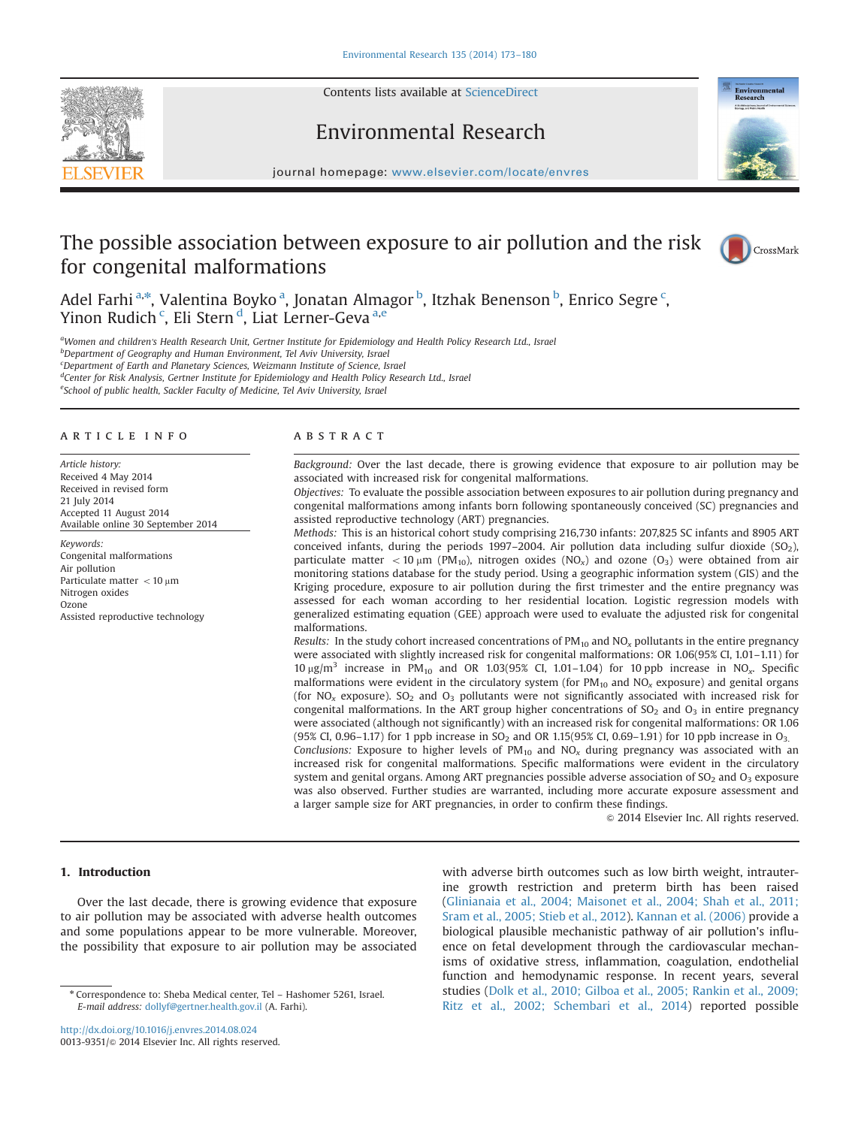

Contents lists available at [ScienceDirect](www.sciencedirect.com/science/journal/00139351)

# Environmental Research



journal homepage: <www.elsevier.com/locate/envres>se $\mathcal{C}$ 

# The possible association between exposure to air pollution and the risk for congenital malformations



Adel Farhi<sup>a,\*</sup>, Valentina Boyko<sup>a</sup>, Jonatan Almagor <sup>b</sup>, Itzhak Benenson <sup>b</sup>, Enrico Segre <sup>c</sup>, Yinon Rudich <sup>c</sup>, Eli Stern <sup>d</sup>, Liat Lerner-Geva <sup>a,e</sup>

aWomen and children's Health Research Unit, Gertner Institute for Epidemiology and Health Policy Research Ltd., Israel b Department of Geography and Human Environment, Tel Aviv University, Israel <sup>c</sup>Department of Earth and Planetary Sciences, Weizmann Institute of Science, Israel <sup>d</sup>Center for Risk Analysis, Gertner Institute for Epidemiology and Health Policy Research Ltd., Israel <sup>e</sup>School of public health, Sackler Faculty of Medicine, Tel Aviv University, Israel

## article info

Article history: Received 4 May 2014 Received in revised form 21 July 2014 Accepted 11 August 2014 Available online 30 September 2014

Keywords: Congenital malformations Air pollution Particulate matter  $<$  10  $\mu$ m Nitrogen oxides Ozone Assisted reproductive technology

## **ABSTRACT**

Background: Over the last decade, there is growing evidence that exposure to air pollution may be associated with increased risk for congenital malformations.

Objectives: To evaluate the possible association between exposures to air pollution during pregnancy and congenital malformations among infants born following spontaneously conceived (SC) pregnancies and assisted reproductive technology (ART) pregnancies.

Methods: This is an historical cohort study comprising 216,730 infants: 207,825 SC infants and 8905 ART conceived infants, during the periods 1997–2004. Air pollution data including sulfur dioxide  $(SO<sub>2</sub>)$ , particulate matter  $<$  10  $\mu$ m (PM<sub>10</sub>), nitrogen oxides (NO<sub>x</sub>) and ozone (O<sub>3</sub>) were obtained from air monitoring stations database for the study period. Using a geographic information system (GIS) and the Kriging procedure, exposure to air pollution during the first trimester and the entire pregnancy was assessed for each woman according to her residential location. Logistic regression models with generalized estimating equation (GEE) approach were used to evaluate the adjusted risk for congenital malformations.

Results: In the study cohort increased concentrations of  $PM_{10}$  and  $NO<sub>x</sub>$  pollutants in the entire pregnancy were associated with slightly increased risk for congenital malformations: OR 1.06(95% CI, 1.01-1.11) for  $10 \mu\text{g/m}^3$  increase in PM<sub>10</sub> and OR 1.03(95% CI, 1.01–1.04) for 10 ppb increase in NO<sub>x</sub>. Specific malformations were evident in the circulatory system (for  $PM_{10}$  and  $NO<sub>x</sub>$  exposure) and genital organs (for  $NO<sub>x</sub>$  exposure). SO<sub>2</sub> and O<sub>3</sub> pollutants were not significantly associated with increased risk for congenital malformations. In the ART group higher concentrations of  $SO<sub>2</sub>$  and  $O<sub>3</sub>$  in entire pregnancy were associated (although not significantly) with an increased risk for congenital malformations: OR 1.06 (95% CI, 0.96–1.17) for 1 ppb increase in SO<sub>2</sub> and OR 1.15(95% CI, 0.69–1.91) for 10 ppb increase in O<sub>3</sub>.

Conclusions: Exposure to higher levels of  $PM_{10}$  and  $NO<sub>x</sub>$  during pregnancy was associated with an increased risk for congenital malformations. Specific malformations were evident in the circulatory system and genital organs. Among ART pregnancies possible adverse association of  $SO<sub>2</sub>$  and  $O<sub>3</sub>$  exposure was also observed. Further studies are warranted, including more accurate exposure assessment and a larger sample size for ART pregnancies, in order to confirm these findings.

 $\odot$  2014 Elsevier Inc. All rights reserved.

# 1. Introduction

Over the last decade, there is growing evidence that exposure to air pollution may be associated with adverse health outcomes and some populations appear to be more vulnerable. Moreover, the possibility that exposure to air pollution may be associated

<http://dx.doi.org/10.1016/j.envres.2014.08.024> 0013-9351/© 2014 Elsevier Inc. All rights reserved. with adverse birth outcomes such as low birth weight, intrauterine growth restriction and preterm birth has been raised ([Glinianaia et al., 2004; Maisonet et al., 2004; Shah et al., 2011;](#page-7-0) [Sram et al., 2005; Stieb et al., 2012](#page-7-0)). [Kannan et al. \(2006\)](#page-7-0) provide a biological plausible mechanistic pathway of air pollution's influence on fetal development through the cardiovascular mechanisms of oxidative stress, inflammation, coagulation, endothelial function and hemodynamic response. In recent years, several studies [\(Dolk et al., 2010; Gilboa et al., 2005; Rankin et al., 2009;](#page-7-0) [Ritz et al., 2002; Schembari et al., 2014](#page-7-0)) reported possible

<sup>n</sup> Correspondence to: Sheba Medical center, Tel – Hashomer 5261, Israel. E-mail address: [dollyf@gertner.health.gov.il](mailto:dollyf@gertner.health.gov.il) (A. Farhi).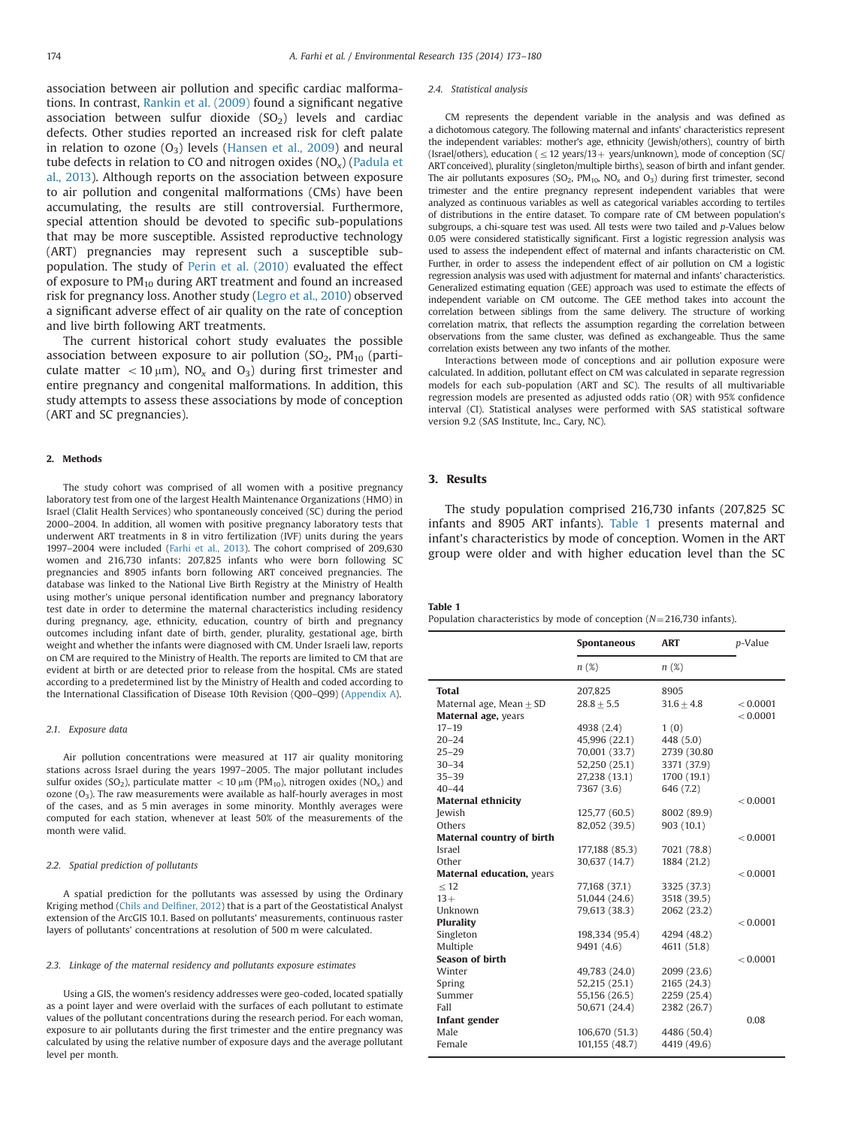association between air pollution and specific cardiac malformations. In contrast, [Rankin et al. \(2009\)](#page-7-0) found a significant negative association between sulfur dioxide  $(SO<sub>2</sub>)$  levels and cardiac defects. Other studies reported an increased risk for cleft palate in relation to ozone  $(O_3)$  levels [\(Hansen et al., 2009\)](#page-7-0) and neural tube defects in relation to CO and nitrogen oxides  $(NO_x)$  ([Padula et](#page-7-0) [al., 2013](#page-7-0)). Although reports on the association between exposure to air pollution and congenital malformations (CMs) have been accumulating, the results are still controversial. Furthermore, special attention should be devoted to specific sub-populations that may be more susceptible. Assisted reproductive technology (ART) pregnancies may represent such a susceptible subpopulation. The study of [Perin et al. \(2010\)](#page-7-0) evaluated the effect of exposure to  $PM_{10}$  during ART treatment and found an increased risk for pregnancy loss. Another study ([Legro et al., 2010](#page-7-0)) observed a significant adverse effect of air quality on the rate of conception and live birth following ART treatments.

The current historical cohort study evaluates the possible association between exposure to air pollution  $(SO<sub>2</sub>, PM<sub>10</sub>)$  (particulate matter  $<$  10  $\mu$ m), NO<sub>x</sub> and O<sub>3</sub>) during first trimester and entire pregnancy and congenital malformations. In addition, this study attempts to assess these associations by mode of conception (ART and SC pregnancies).

# 2. Methods

The study cohort was comprised of all women with a positive pregnancy laboratory test from one of the largest Health Maintenance Organizations (HMO) in Israel (Clalit Health Services) who spontaneously conceived (SC) during the period 2000–2004. In addition, all women with positive pregnancy laboratory tests that underwent ART treatments in 8 in vitro fertilization (IVF) units during the years 1997–2004 were included [\(Farhi et al., 2013](#page-7-0)). The cohort comprised of 209,630 women and 216,730 infants: 207,825 infants who were born following SC pregnancies and 8905 infants born following ART conceived pregnancies. The database was linked to the National Live Birth Registry at the Ministry of Health using mother's unique personal identification number and pregnancy laboratory test date in order to determine the maternal characteristics including residency during pregnancy, age, ethnicity, education, country of birth and pregnancy outcomes including infant date of birth, gender, plurality, gestational age, birth weight and whether the infants were diagnosed with CM. Under Israeli law, reports on CM are required to the Ministry of Health. The reports are limited to CM that are evident at birth or are detected prior to release from the hospital. CMs are stated according to a predetermined list by the Ministry of Health and coded according to the International Classification of Disease 10th Revision (Q00–Q99) ([Appendix A\)](#page-6-0).

## 2.1. Exposure data

Air pollution concentrations were measured at 117 air quality monitoring stations across Israel during the years 1997–2005. The major pollutant includes sulfur oxides (SO<sub>2</sub>), particulate matter  $\langle 10 \text{ µm}$  (PM<sub>10</sub>), nitrogen oxides (NO<sub>2</sub>) and ozone  $(O_3)$ . The raw measurements were available as half-hourly averages in most of the cases, and as 5 min averages in some minority. Monthly averages were computed for each station, whenever at least 50% of the measurements of the month were valid.

#### 2.2. Spatial prediction of pollutants

A spatial prediction for the pollutants was assessed by using the Ordinary Kriging method [\(Chils and Del](#page-7-0)finer, 2012) that is a part of the Geostatistical Analyst extension of the ArcGIS 10.1. Based on pollutants' measurements, continuous raster layers of pollutants' concentrations at resolution of 500 m were calculated.

## 2.3. Linkage of the maternal residency and pollutants exposure estimates

Using a GIS, the women's residency addresses were geo-coded, located spatially as a point layer and were overlaid with the surfaces of each pollutant to estimate values of the pollutant concentrations during the research period. For each woman, exposure to air pollutants during the first trimester and the entire pregnancy was calculated by using the relative number of exposure days and the average pollutant level per month.

#### 2.4. Statistical analysis

CM represents the dependent variable in the analysis and was defined as a dichotomous category. The following maternal and infants' characteristics represent the independent variables: mother's age, ethnicity (Jewish/others), country of birth (Israel/others), education ( $\leq$  12 years/13 + years/unknown), mode of conception (SC/ ART conceived), plurality (singleton/multiple births), season of birth and infant gender. The air pollutants exposures (SO<sub>2</sub>, PM<sub>10</sub>, NO<sub>x</sub> and O<sub>3</sub>) during first trimester, second trimester and the entire pregnancy represent independent variables that were analyzed as continuous variables as well as categorical variables according to tertiles of distributions in the entire dataset. To compare rate of CM between population's subgroups, a chi-square test was used. All tests were two tailed and p-Values below 0.05 were considered statistically significant. First a logistic regression analysis was used to assess the independent effect of maternal and infants characteristic on CM. Further, in order to assess the independent effect of air pollution on CM a logistic regression analysis was used with adjustment for maternal and infants' characteristics. Generalized estimating equation (GEE) approach was used to estimate the effects of independent variable on CM outcome. The GEE method takes into account the correlation between siblings from the same delivery. The structure of working correlation matrix, that reflects the assumption regarding the correlation between observations from the same cluster, was defined as exchangeable. Thus the same correlation exists between any two infants of the mother.

Interactions between mode of conceptions and air pollution exposure were calculated. In addition, pollutant effect on CM was calculated in separate regression models for each sub-population (ART and SC). The results of all multivariable regression models are presented as adjusted odds ratio (OR) with 95% confidence interval (CI). Statistical analyses were performed with SAS statistical software version 9.2 (SAS Institute, Inc., Cary, NC).

# 3. Results

The study population comprised 216,730 infants (207,825 SC infants and 8905 ART infants). Table 1 presents maternal and infant's characteristics by mode of conception. Women in the ART group were older and with higher education level than the SC

#### Table 1

Population characteristics by mode of conception  $(N=216,730$  infants).

|                                   | Spontaneous    | <b>ART</b>   | p-Value  |
|-----------------------------------|----------------|--------------|----------|
|                                   | n(%)           | $n(\%)$      |          |
| <b>Total</b>                      | 207,825        | 8905         |          |
| Maternal age, Mean $+$ SD         | $28.8 + 5.5$   | $31.6 + 4.8$ | < 0.0001 |
| Maternal age, years               |                |              | < 0.0001 |
| $17 - 19$                         | 4938 (2.4)     | 1(0)         |          |
| $20 - 24$                         | 45,996 (22.1)  | 448 (5.0)    |          |
| $25 - 29$                         | 70,001 (33.7)  | 2739 (30.80  |          |
| $30 - 34$                         | 52,250 (25.1)  | 3371 (37.9)  |          |
| $35 - 39$                         | 27,238 (13.1)  | 1700 (19.1)  |          |
| $40 - 44$                         | 7367 (3.6)     | 646 (7.2)    |          |
| <b>Maternal ethnicity</b>         |                |              | < 0.0001 |
| Jewish                            | 125,77 (60.5)  | 8002 (89.9)  |          |
| Others                            | 82,052 (39.5)  | 903(10.1)    |          |
| <b>Maternal country of birth</b>  |                |              | < 0.0001 |
| Israel                            | 177,188 (85.3) | 7021 (78.8)  |          |
| Other                             | 30,637 (14.7)  | 1884 (21.2)  |          |
| <b>Maternal education</b> , years |                |              | < 0.0001 |
| < 12                              | 77,168 (37.1)  | 3325 (37.3)  |          |
| $13+$                             | 51,044 (24.6)  | 3518 (39.5)  |          |
| Unknown                           | 79,613 (38.3)  | 2062 (23.2)  |          |
| <b>Plurality</b>                  |                |              | < 0.0001 |
| Singleton                         | 198,334 (95.4) | 4294 (48.2)  |          |
| Multiple                          | 9491 (4.6)     | 4611 (51.8)  |          |
| <b>Season of birth</b>            |                |              | < 0.0001 |
| Winter                            | 49,783 (24.0)  | 2099 (23.6)  |          |
| Spring                            | 52,215 (25.1)  | 2165 (24.3)  |          |
| Summer                            | 55,156 (26.5)  | 2259 (25.4)  |          |
| Fall                              | 50,671 (24.4)  | 2382 (26.7)  |          |
| Infant gender                     |                |              | 0.08     |
| Male                              | 106,670 (51.3) | 4486 (50.4)  |          |
| Female                            | 101,155 (48.7) | 4419 (49.6)  |          |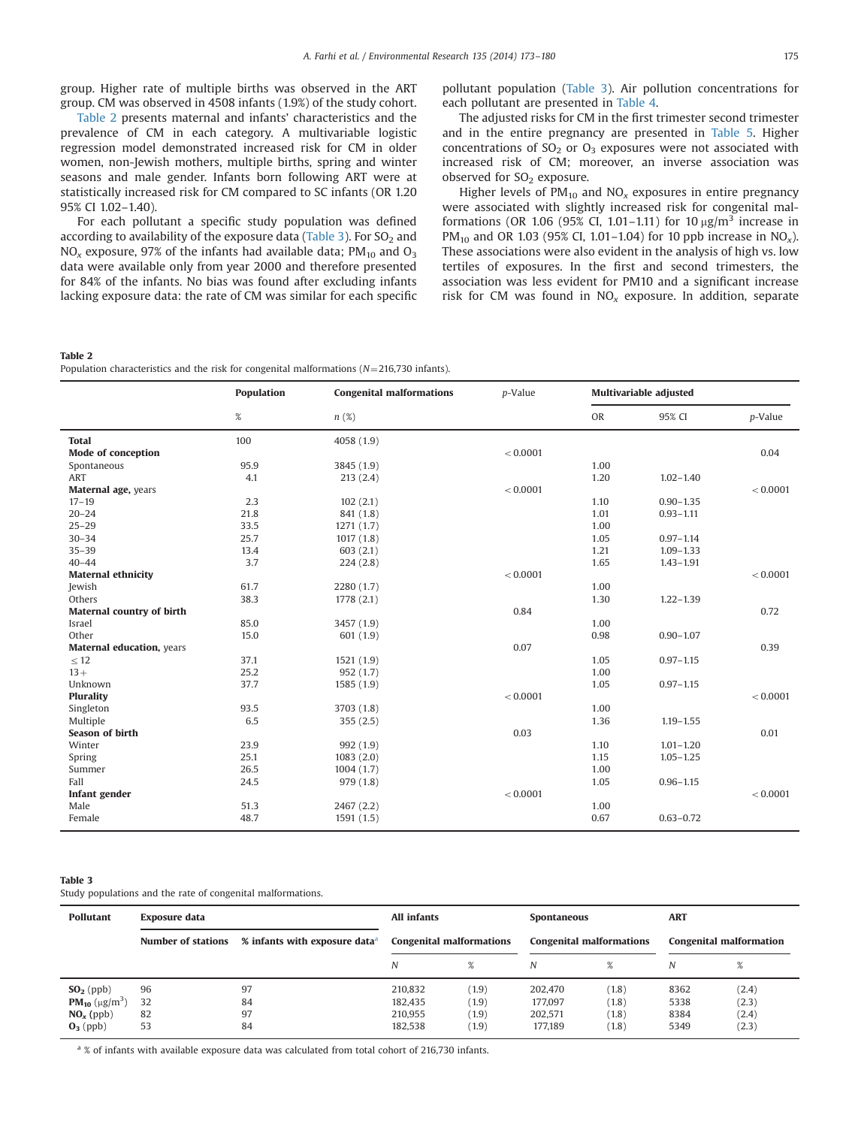group. Higher rate of multiple births was observed in the ART group. CM was observed in 4508 infants (1.9%) of the study cohort.

Table 2 presents maternal and infants' characteristics and the prevalence of CM in each category. A multivariable logistic regression model demonstrated increased risk for CM in older women, non-Jewish mothers, multiple births, spring and winter seasons and male gender. Infants born following ART were at statistically increased risk for CM compared to SC infants (OR 1.20 95% CI 1.02–1.40).

For each pollutant a specific study population was defined according to availability of the exposure data (Table 3). For  $SO<sub>2</sub>$  and  $NO<sub>x</sub>$  exposure, 97% of the infants had available data; PM<sub>10</sub> and  $O<sub>3</sub>$ data were available only from year 2000 and therefore presented for 84% of the infants. No bias was found after excluding infants lacking exposure data: the rate of CM was similar for each specific pollutant population (Table 3). Air pollution concentrations for each pollutant are presented in [Table 4.](#page-3-0)

The adjusted risks for CM in the first trimester second trimester and in the entire pregnancy are presented in [Table 5](#page-3-0). Higher concentrations of  $SO_2$  or  $O_3$  exposures were not associated with increased risk of CM; moreover, an inverse association was observed for  $SO<sub>2</sub>$  exposure.

Higher levels of  $PM_{10}$  and  $NO_x$  exposures in entire pregnancy were associated with slightly increased risk for congenital malformations (OR 1.06 (95% CI, 1.01–1.11) for 10  $\mu$ g/m<sup>3</sup> increase in PM<sub>10</sub> and OR 1.03 (95% CI, 1.01–1.04) for 10 ppb increase in NO<sub>x</sub>). These associations were also evident in the analysis of high vs. low tertiles of exposures. In the first and second trimesters, the association was less evident for PM10 and a significant increase risk for CM was found in  $NO<sub>x</sub>$  exposure. In addition, separate

Table 2

Population characteristics and the risk for congenital malformations ( $N=216,730$  infants).

|                           | <b>Population</b> | <b>Congenital malformations</b> | p-Value  |           | Multivariable adjusted |          |
|---------------------------|-------------------|---------------------------------|----------|-----------|------------------------|----------|
|                           | $\%$              | $n(\mathcal{E})$                |          | <b>OR</b> | 95% CI                 | p-Value  |
| <b>Total</b>              | 100               | 4058 (1.9)                      |          |           |                        |          |
| Mode of conception        |                   |                                 | < 0.0001 |           |                        | 0.04     |
| Spontaneous               | 95.9              | 3845 (1.9)                      |          | 1.00      |                        |          |
| <b>ART</b>                | 4.1               | 213(2.4)                        |          | 1.20      | $1.02 - 1.40$          |          |
| Maternal age, years       |                   |                                 | < 0.0001 |           |                        | < 0.0001 |
| $17 - 19$                 | 2.3               | 102(2.1)                        |          | 1.10      | $0.90 - 1.35$          |          |
| $20 - 24$                 | 21.8              | 841 (1.8)                       |          | 1.01      | $0.93 - 1.11$          |          |
| $25 - 29$                 | 33.5              | 1271(1.7)                       |          | 1.00      |                        |          |
| $30 - 34$                 | 25.7              | 1017(1.8)                       |          | 1.05      | $0.97 - 1.14$          |          |
| $35 - 39$                 | 13.4              | 603(2.1)                        |          | 1.21      | $1.09 - 1.33$          |          |
| $40 - 44$                 | 3.7               | 224(2.8)                        |          | 1.65      | $1.43 - 1.91$          |          |
| <b>Maternal ethnicity</b> |                   |                                 | < 0.0001 |           |                        | < 0.0001 |
| Jewish                    | 61.7              | 2280 (1.7)                      |          | 1.00      |                        |          |
| Others                    | 38.3              | 1778 (2.1)                      |          | 1.30      | $1,22-1,39$            |          |
| Maternal country of birth |                   |                                 | 0.84     |           |                        | 0.72     |
| Israel                    | 85.0              | 3457 (1.9)                      |          | 1.00      |                        |          |
| Other                     | 15.0              | 601 (1.9)                       |          | 0.98      | $0.90 - 1.07$          |          |
| Maternal education, years |                   |                                 | 0.07     |           |                        | 0.39     |
| $\leq 12$                 | 37.1              | 1521 (1.9)                      |          | 1.05      | $0.97 - 1.15$          |          |
| $13+$                     | 25.2              | 952 (1.7)                       |          | 1.00      |                        |          |
| Unknown                   | 37.7              | 1585 (1.9)                      |          | 1.05      | $0.97 - 1.15$          |          |
| <b>Plurality</b>          |                   |                                 | < 0.0001 |           |                        | < 0.0001 |
| Singleton                 | 93.5              | 3703 (1.8)                      |          | 1.00      |                        |          |
| Multiple                  | 6.5               | 355(2.5)                        |          | 1.36      | $1.19 - 1.55$          |          |
| <b>Season of birth</b>    |                   |                                 | 0.03     |           |                        | 0.01     |
| Winter                    | 23.9              | 992 (1.9)                       |          | 1.10      | $1.01 - 1.20$          |          |
| Spring                    | 25.1              | 1083(2.0)                       |          | 1.15      | $1.05 - 1.25$          |          |
| Summer                    | 26.5              | 1004(1.7)                       |          | 1.00      |                        |          |
| Fall                      | 24.5              | 979 (1.8)                       |          | 1.05      | $0.96 - 1.15$          |          |
| Infant gender             |                   |                                 | < 0.0001 |           |                        | < 0.0001 |
| Male                      | 51.3              | 2467(2.2)                       |          | 1.00      |                        |          |
| Female                    | 48.7              | 1591(1.5)                       |          | 0.67      | $0.63 - 0.72$          |          |

## Table 3

Study populations and the rate of congenital malformations.

| Pollutant                                                                                      | <b>Exposure data</b>                                            |                      | All infants                              |                                  | <b>Spontaneous</b>                       |                                  | <b>ART</b>                     |                                  |
|------------------------------------------------------------------------------------------------|-----------------------------------------------------------------|----------------------|------------------------------------------|----------------------------------|------------------------------------------|----------------------------------|--------------------------------|----------------------------------|
|                                                                                                | % infants with exposure data <sup>a</sup><br>Number of stations |                      | <b>Congenital malformations</b>          |                                  | <b>Congenital malformations</b>          |                                  | <b>Congenital malformation</b> |                                  |
|                                                                                                |                                                                 |                      | N                                        | %                                | N                                        | %                                | N                              | $\%$                             |
| $SO2$ (ppb)<br><b>PM<sub>10</sub></b> ( $\mu$ g/m <sup>3</sup> )<br>$NOx$ (ppb)<br>$O_3$ (ppb) | 96<br>32<br>82<br>53                                            | 97<br>84<br>97<br>84 | 210,832<br>182.435<br>210,955<br>182,538 | (1.9)<br>(1.9)<br>(1.9)<br>(1.9) | 202,470<br>177,097<br>202,571<br>177.189 | (1.8)<br>(1.8)<br>(1.8)<br>(1.8) | 8362<br>5338<br>8384<br>5349   | (2.4)<br>(2.3)<br>(2.4)<br>(2.3) |

<sup>a</sup> % of infants with available exposure data was calculated from total cohort of 216,730 infants.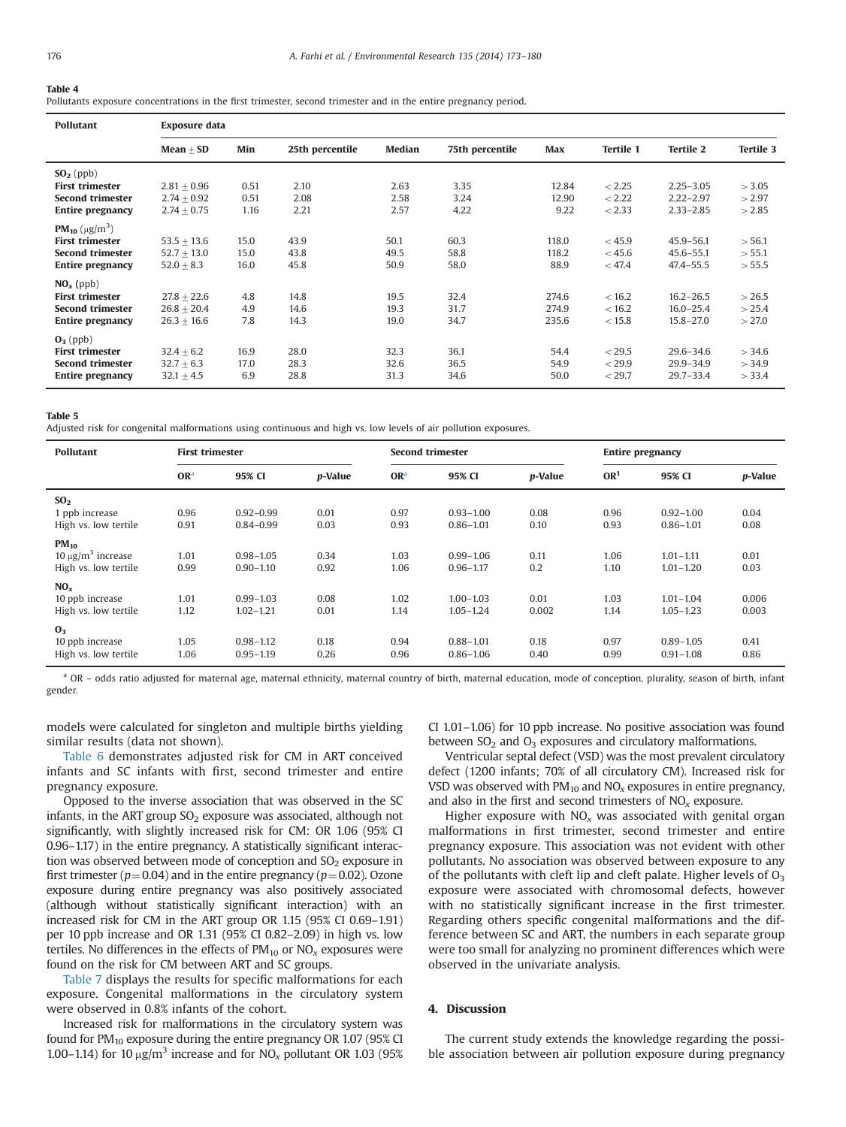#### <span id="page-3-0"></span>Table 4

Pollutants exposure concentrations in the first trimester, second trimester and in the entire pregnancy period.

| <b>Pollutant</b>                                                                                                                  | <b>Exposure data</b>                            |                      |                      |                      |                      |                         |                            |                                                 |                            |
|-----------------------------------------------------------------------------------------------------------------------------------|-------------------------------------------------|----------------------|----------------------|----------------------|----------------------|-------------------------|----------------------------|-------------------------------------------------|----------------------------|
|                                                                                                                                   | $Mean + SD$                                     | Min                  | 25th percentile      | Median               | 75th percentile      | Max                     | <b>Tertile 1</b>           | <b>Tertile 2</b>                                | <b>Tertile 3</b>           |
| $SO2$ (ppb)<br><b>First trimester</b><br><b>Second trimester</b><br><b>Entire pregnancy</b>                                       | $2.81 + 0.96$<br>$2.74 + 0.92$<br>$2.74 + 0.75$ | 0.51<br>0.51<br>1.16 | 2.10<br>2.08<br>2.21 | 2.63<br>2.58<br>2.57 | 3.35<br>3.24<br>4.22 | 12.84<br>12.90<br>9.22  | < 2.25<br>< 2.22<br>< 2.33 | $2.25 - 3.05$<br>$2.22 - 2.97$<br>$2.33 - 2.85$ | > 3.05<br>>2.97<br>>2.85   |
| <b>PM<sub>10</sub></b> ( $\mu$ g/m <sup>3</sup> )<br><b>First trimester</b><br><b>Second trimester</b><br><b>Entire pregnancy</b> | $53.5 + 13.6$<br>$52.7 + 13.0$<br>$52.0 + 8.3$  | 15.0<br>15.0<br>16.0 | 43.9<br>43.8<br>45.8 | 50.1<br>49.5<br>50.9 | 60.3<br>58.8<br>58.0 | 118.0<br>118.2<br>88.9  | < 45.9<br>< 45.6<br>< 47.4 | $45.9 - 56.1$<br>$45.6 - 55.1$<br>$47.4 - 55.5$ | > 56.1<br>> 55.1<br>> 55.5 |
| $NO_x$ (ppb)<br><b>First trimester</b><br><b>Second trimester</b><br><b>Entire pregnancy</b>                                      | $27.8 + 22.6$<br>$26.8 + 20.4$<br>$26.3 + 16.6$ | 4.8<br>4.9<br>7.8    | 14.8<br>14.6<br>14.3 | 19.5<br>19.3<br>19.0 | 32.4<br>31.7<br>34.7 | 274.6<br>274.9<br>235.6 | < 16.2<br>< 16.2<br>< 15.8 | $16.2 - 26.5$<br>$16.0 - 25.4$<br>$15.8 - 27.0$ | >26.5<br>> 25.4<br>>27.0   |
| $O_3$ (ppb)<br><b>First trimester</b><br><b>Second trimester</b><br><b>Entire pregnancy</b>                                       | $32.4 + 6.2$<br>$32.7 + 6.3$<br>$32.1 \pm 4.5$  | 16.9<br>17.0<br>6.9  | 28.0<br>28.3<br>28.8 | 32.3<br>32.6<br>31.3 | 36.1<br>36.5<br>34.6 | 54.4<br>54.9<br>50.0    | < 29.5<br>< 29.9<br>< 29.7 | $29.6 - 34.6$<br>$29.9 - 34.9$<br>$29.7 - 33.4$ | > 34.6<br>> 34.9<br>> 33.4 |

#### Table 5

Adjusted risk for congenital malformations using continuous and high vs. low levels of air pollution exposures.

| <b>Pollutant</b>        | <b>First trimester</b> |               |                 | <b>Second trimester</b> |               |                 | <b>Entire pregnancy</b> |               |                 |
|-------------------------|------------------------|---------------|-----------------|-------------------------|---------------|-----------------|-------------------------|---------------|-----------------|
|                         | OR <sup>a</sup>        | 95% CI        | <i>p</i> -Value | OR <sup>a</sup>         | 95% CI        | <i>p</i> -Value | OR <sup>1</sup>         | 95% CI        | <i>p</i> -Value |
| SO <sub>2</sub>         |                        |               |                 |                         |               |                 |                         |               |                 |
| 1 ppb increase          | 0.96                   | $0.92 - 0.99$ | 0.01            | 0.97                    | $0.93 - 1.00$ | 0.08            | 0.96                    | $0.92 - 1.00$ | 0.04            |
| High vs. low tertile    | 0.91                   | $0.84 - 0.99$ | 0.03            | 0.93                    | $0.86 - 1.01$ | 0.10            | 0.93                    | $0.86 - 1.01$ | 0.08            |
| $PM_{10}$               |                        |               |                 |                         |               |                 |                         |               |                 |
| $10 \mu g/m^3$ increase | 1.01                   | $0.98 - 1.05$ | 0.34            | 1.03                    | $0.99 - 1.06$ | 0.11            | 1.06                    | $1.01 - 1.11$ | 0.01            |
| High vs. low tertile    | 0.99                   | $0.90 - 1.10$ | 0.92            | 1.06                    | $0.96 - 1.17$ | 0.2             | 1.10                    | $1.01 - 1.20$ | 0.03            |
| $NO_x$                  |                        |               |                 |                         |               |                 |                         |               |                 |
| 10 ppb increase         | 1.01                   | $0.99 - 1.03$ | 0.08            | 1.02                    | $1.00 - 1.03$ | 0.01            | 1.03                    | $1.01 - 1.04$ | 0.006           |
| High vs. low tertile    | 1.12                   | $1.02 - 1.21$ | 0.01            | 1.14                    | $1.05 - 1.24$ | 0.002           | 1.14                    | $1.05 - 1.23$ | 0.003           |
| 0 <sub>3</sub>          |                        |               |                 |                         |               |                 |                         |               |                 |
| 10 ppb increase         | 1.05                   | $0.98 - 1.12$ | 0.18            | 0.94                    | $0.88 - 1.01$ | 0.18            | 0.97                    | $0.89 - 1.05$ | 0.41            |
| High vs. low tertile    | 1.06                   | $0.95 - 1.19$ | 0.26            | 0.96                    | $0.86 - 1.06$ | 0.40            | 0.99                    | $0.91 - 1.08$ | 0.86            |

<sup>a</sup> OR – odds ratio adjusted for maternal age, maternal ethnicity, maternal country of birth, maternal education, mode of conception, plurality, season of birth, infant gender.

models were calculated for singleton and multiple births yielding similar results (data not shown).

[Table 6](#page-4-0) demonstrates adjusted risk for CM in ART conceived infants and SC infants with first, second trimester and entire pregnancy exposure.

Opposed to the inverse association that was observed in the SC infants, in the ART group  $SO_2$  exposure was associated, although not significantly, with slightly increased risk for CM: OR 1.06 (95% CI 0.96–1.17) in the entire pregnancy. A statistically significant interaction was observed between mode of conception and  $SO<sub>2</sub>$  exposure in first trimester ( $p=0.04$ ) and in the entire pregnancy ( $p=0.02$ ). Ozone exposure during entire pregnancy was also positively associated (although without statistically significant interaction) with an increased risk for CM in the ART group OR 1.15 (95% CI 0.69–1.91) per 10 ppb increase and OR 1.31 (95% CI 0.82–2.09) in high vs. low tertiles. No differences in the effects of  $PM_{10}$  or  $NO<sub>x</sub>$  exposures were found on the risk for CM between ART and SC groups.

[Table 7](#page-5-0) displays the results for specific malformations for each exposure. Congenital malformations in the circulatory system were observed in 0.8% infants of the cohort.

Increased risk for malformations in the circulatory system was found for  $PM_{10}$  exposure during the entire pregnancy OR 1.07 (95% CI 1.00–1.14) for 10  $\mu$ g/m<sup>3</sup> increase and for NO<sub>x</sub> pollutant OR 1.03 (95%) CI 1.01–1.06) for 10 ppb increase. No positive association was found between  $SO<sub>2</sub>$  and  $O<sub>3</sub>$  exposures and circulatory malformations.

Ventricular septal defect (VSD) was the most prevalent circulatory defect (1200 infants; 70% of all circulatory CM). Increased risk for VSD was observed with  $PM_{10}$  and  $NO_x$  exposures in entire pregnancy, and also in the first and second trimesters of  $NO<sub>x</sub>$  exposure.

Higher exposure with  $NO<sub>x</sub>$  was associated with genital organ malformations in first trimester, second trimester and entire pregnancy exposure. This association was not evident with other pollutants. No association was observed between exposure to any of the pollutants with cleft lip and cleft palate. Higher levels of  $O_3$ exposure were associated with chromosomal defects, however with no statistically significant increase in the first trimester. Regarding others specific congenital malformations and the difference between SC and ART, the numbers in each separate group were too small for analyzing no prominent differences which were observed in the univariate analysis.

# 4. Discussion

The current study extends the knowledge regarding the possible association between air pollution exposure during pregnancy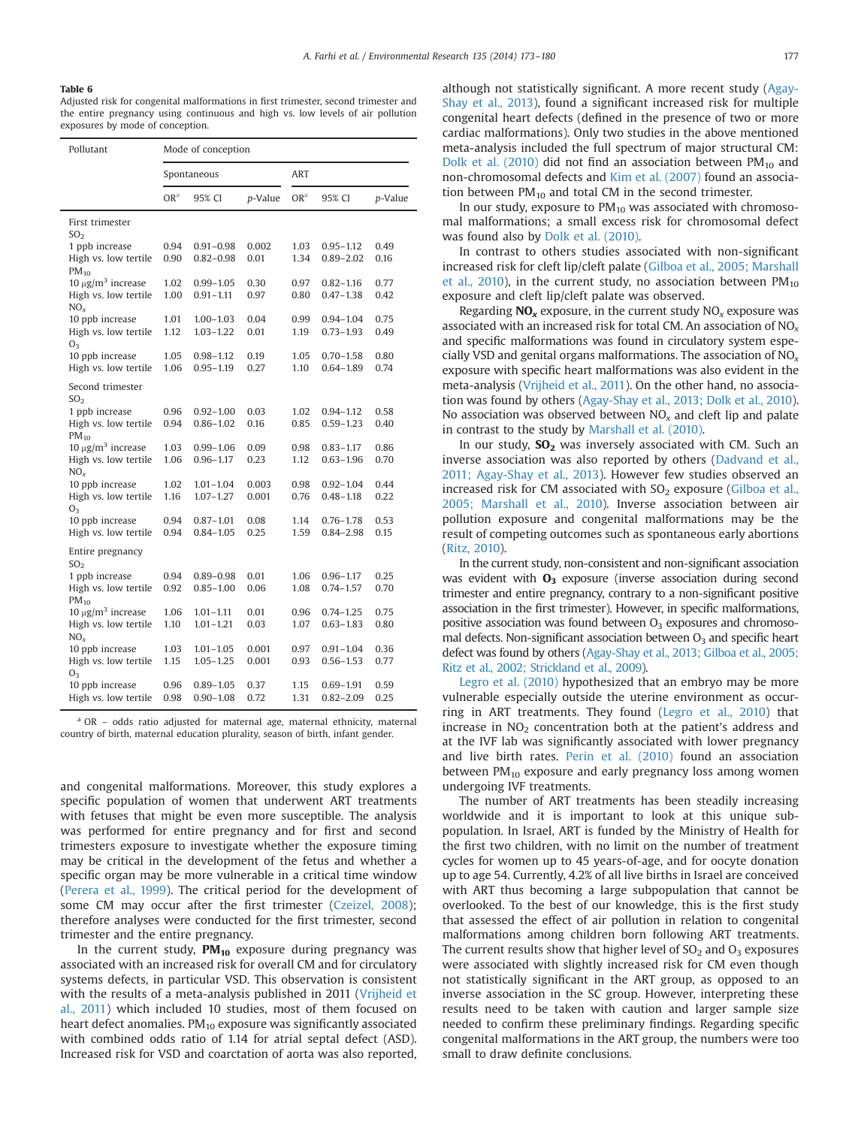## <span id="page-4-0"></span>Table 6

Adjusted risk for congenital malformations in first trimester, second trimester and the entire pregnancy using continuous and high vs. low levels of air pollution exposures by mode of conception.

| Pollutant                               |                 | Mode of conception |         |                 |               |         |  |
|-----------------------------------------|-----------------|--------------------|---------|-----------------|---------------|---------|--|
|                                         |                 | Spontaneous        |         | <b>ART</b>      |               |         |  |
|                                         | OR <sup>a</sup> | 95% CI             | p-Value | OR <sup>a</sup> | 95% CI        | p-Value |  |
| First trimester<br>SO <sub>2</sub>      |                 |                    |         |                 |               |         |  |
| 1 ppb increase                          | 0.94            | $0.91 - 0.98$      | 0.002   | 1.03            | $0.95 - 1.12$ | 0.49    |  |
| High vs. low tertile<br>$PM_{10}$       | 0.90            | $0.82 - 0.98$      | 0.01    | 1.34            | $0.89 - 2.02$ | 0.16    |  |
| $10 \mu g/m^3$ increase                 | 1.02            | $0.99 - 1.05$      | 0.30    | 0.97            | $0.82 - 1.16$ | 0.77    |  |
| High vs. low tertile<br>NO <sub>x</sub> | 1.00            | $0.91 - 1.11$      | 0.97    | 0.80            | $0.47 - 1.38$ | 0.42    |  |
| 10 ppb increase                         | 1.01            | $1.00 - 1.03$      | 0.04    | 0.99            | $0.94 - 1.04$ | 0.75    |  |
| High vs. low tertile<br>$O_3$           | 1.12            | $1.03 - 1.22$      | 0.01    | 1.19            | $0.73 - 1.93$ | 0.49    |  |
| 10 ppb increase                         | 1.05            | $0.98 - 1.12$      | 0.19    | 1.05            | $0.70 - 1.58$ | 0.80    |  |
| High vs. low tertile                    | 1.06            | $0.95 - 1.19$      | 0.27    | 1.10            | $0.64 - 1.89$ | 0.74    |  |
| Second trimester<br>SO <sub>2</sub>     |                 |                    |         |                 |               |         |  |
| 1 ppb increase                          | 0.96            | $0.92 - 1.00$      | 0.03    | 1.02            | $0.94 - 1.12$ | 0.58    |  |
| High vs. low tertile<br>$PM_{10}$       | 0.94            | $0.86 - 1.02$      | 0.16    | 0.85            | $0.59 - 1.23$ | 0.40    |  |
| 10 $\mu$ g/m <sup>3</sup> increase      | 1.03            | $0.99 - 1.06$      | 0.09    | 0.98            | $0.83 - 1.17$ | 0.86    |  |
| High vs. low tertile<br>$NO_{x}$        | 1.06            | $0.96 - 1.17$      | 0.23    | 1.12            | $0.63 - 1.96$ | 0.70    |  |
| 10 ppb increase                         | 1.02            | $1.01 - 1.04$      | 0.003   | 0.98            | $0.92 - 1.04$ | 0.44    |  |
| High vs. low tertile<br>O <sub>3</sub>  | 1.16            | $1.07 - 1.27$      | 0.001   | 0.76            | $0.48 - 1.18$ | 0.22    |  |
| 10 ppb increase                         | 0.94            | $0.87 - 1.01$      | 0.08    | 1.14            | $0.76 - 1.78$ | 0.53    |  |
| High vs. low tertile                    | 0.94            | $0.84 - 1.05$      | 0.25    | 1.59            | $0.84 - 2.98$ | 0.15    |  |
| Entire pregnancy<br>SO <sub>2</sub>     |                 |                    |         |                 |               |         |  |
| 1 ppb increase                          | 0.94            | $0.89 - 0.98$      | 0.01    | 1.06            | $0.96 - 1.17$ | 0.25    |  |
| High vs. low tertile<br>$PM_{10}$       | 0.92            | $0.85 - 1.00$      | 0.06    | 1.08            | $0.74 - 1.57$ | 0.70    |  |
| 10 $\mu$ g/m <sup>3</sup> increase      | 1.06            | $1.01 - 1.11$      | 0.01    | 0.96            | $0.74 - 1.25$ | 0.75    |  |
| High vs. low tertile<br>NO <sub>x</sub> | 1.10            | $1.01 - 1.21$      | 0.03    | 1.07            | $0.63 - 1.83$ | 0.80    |  |
| 10 ppb increase                         | 1.03            | $1.01 - 1.05$      | 0.001   | 0.97            | $0.91 - 1.04$ | 0.36    |  |
| High vs. low tertile<br>0 <sub>3</sub>  | 1.15            | $1.05 - 1.25$      | 0.001   | 0.93            | $0.56 - 1.53$ | 0.77    |  |
| 10 ppb increase                         | 0.96            | $0.89 - 1.05$      | 0.37    | 1.15            | $0.69 - 1.91$ | 0.59    |  |
| High vs. low tertile                    | 0.98            | $0.90 - 1.08$      | 0.72    | 1.31            | $0.82 - 2.09$ | 0.25    |  |

<sup>&</sup>lt;sup>a</sup> OR – odds ratio adjusted for maternal age, maternal ethnicity, maternal country of birth, maternal education plurality, season of birth, infant gender.

and congenital malformations. Moreover, this study explores a specific population of women that underwent ART treatments with fetuses that might be even more susceptible. The analysis was performed for entire pregnancy and for first and second trimesters exposure to investigate whether the exposure timing may be critical in the development of the fetus and whether a specific organ may be more vulnerable in a critical time window ([Perera et al., 1999](#page-7-0)). The critical period for the development of some CM may occur after the first trimester [\(Czeizel, 2008\)](#page-7-0); therefore analyses were conducted for the first trimester, second trimester and the entire pregnancy.

In the current study,  $PM_{10}$  exposure during pregnancy was associated with an increased risk for overall CM and for circulatory systems defects, in particular VSD. This observation is consistent with the results of a meta-analysis published in 2011 [\(Vrijheid et](#page-7-0) [al., 2011\)](#page-7-0) which included 10 studies, most of them focused on heart defect anomalies.  $PM_{10}$  exposure was significantly associated with combined odds ratio of 1.14 for atrial septal defect (ASD). Increased risk for VSD and coarctation of aorta was also reported, although not statistically significant. A more recent study ([Agay-](#page-7-0)[Shay et al., 2013\)](#page-7-0), found a significant increased risk for multiple congenital heart defects (defined in the presence of two or more cardiac malformations). Only two studies in the above mentioned meta-analysis included the full spectrum of major structural CM: [Dolk et al. \(2010\)](#page-7-0) did not find an association between  $PM_{10}$  and non-chromosomal defects and [Kim et al. \(2007\)](#page-7-0) found an association between  $PM_{10}$  and total CM in the second trimester.

In our study, exposure to  $PM_{10}$  was associated with chromosomal malformations; a small excess risk for chromosomal defect was found also by [Dolk et al. \(2010\).](#page-7-0)

In contrast to others studies associated with non-significant increased risk for cleft lip/cleft palate ([Gilboa et al., 2005; Marshall](#page-7-0) [et al., 2010\)](#page-7-0), in the current study, no association between  $PM_{10}$ exposure and cleft lip/cleft palate was observed.

Regarding  $NO_x$  exposure, in the current study  $NO_x$  exposure was associated with an increased risk for total CM. An association of  $NO<sub>x</sub>$ and specific malformations was found in circulatory system especially VSD and genital organs malformations. The association of  $NO<sub>x</sub>$ exposure with specific heart malformations was also evident in the meta-analysis [\(Vrijheid et al., 2011](#page-7-0)). On the other hand, no association was found by others [\(Agay-Shay et al., 2013; Dolk et al., 2010\)](#page-7-0). No association was observed between  $NO<sub>x</sub>$  and cleft lip and palate in contrast to the study by [Marshall et al. \(2010\).](#page-7-0)

In our study,  $SO<sub>2</sub>$  was inversely associated with CM. Such an inverse association was also reported by others [\(Dadvand et al.,](#page-7-0) [2011; Agay-Shay et al., 2013\)](#page-7-0). However few studies observed an increased risk for CM associated with  $SO<sub>2</sub>$  exposure ([Gilboa et al.,](#page-7-0) [2005; Marshall et al., 2010](#page-7-0)). Inverse association between air pollution exposure and congenital malformations may be the result of competing outcomes such as spontaneous early abortions ([Ritz, 2010](#page-7-0)).

In the current study, non-consistent and non-significant association was evident with  $O_3$  exposure (inverse association during second trimester and entire pregnancy, contrary to a non-significant positive association in the first trimester). However, in specific malformations, positive association was found between  $O<sub>3</sub>$  exposures and chromosomal defects. Non-significant association between  $O<sub>3</sub>$  and specific heart defect was found by others [\(Agay-Shay et al., 2013; Gilboa et al., 2005;](#page-7-0) [Ritz et al., 2002; Strickland et al., 2009\)](#page-7-0).

[Legro et al. \(2010\)](#page-7-0) hypothesized that an embryo may be more vulnerable especially outside the uterine environment as occurring in ART treatments. They found ([Legro et al., 2010](#page-7-0)) that increase in  $NO<sub>2</sub>$  concentration both at the patient's address and at the IVF lab was significantly associated with lower pregnancy and live birth rates. [Perin et al. \(2010\)](#page-7-0) found an association between  $PM_{10}$  exposure and early pregnancy loss among women undergoing IVF treatments.

The number of ART treatments has been steadily increasing worldwide and it is important to look at this unique subpopulation. In Israel, ART is funded by the Ministry of Health for the first two children, with no limit on the number of treatment cycles for women up to 45 years-of-age, and for oocyte donation up to age 54. Currently, 4.2% of all live births in Israel are conceived with ART thus becoming a large subpopulation that cannot be overlooked. To the best of our knowledge, this is the first study that assessed the effect of air pollution in relation to congenital malformations among children born following ART treatments. The current results show that higher level of  $SO<sub>2</sub>$  and  $O<sub>3</sub>$  exposures were associated with slightly increased risk for CM even though not statistically significant in the ART group, as opposed to an inverse association in the SC group. However, interpreting these results need to be taken with caution and larger sample size needed to confirm these preliminary findings. Regarding specific congenital malformations in the ART group, the numbers were too small to draw definite conclusions.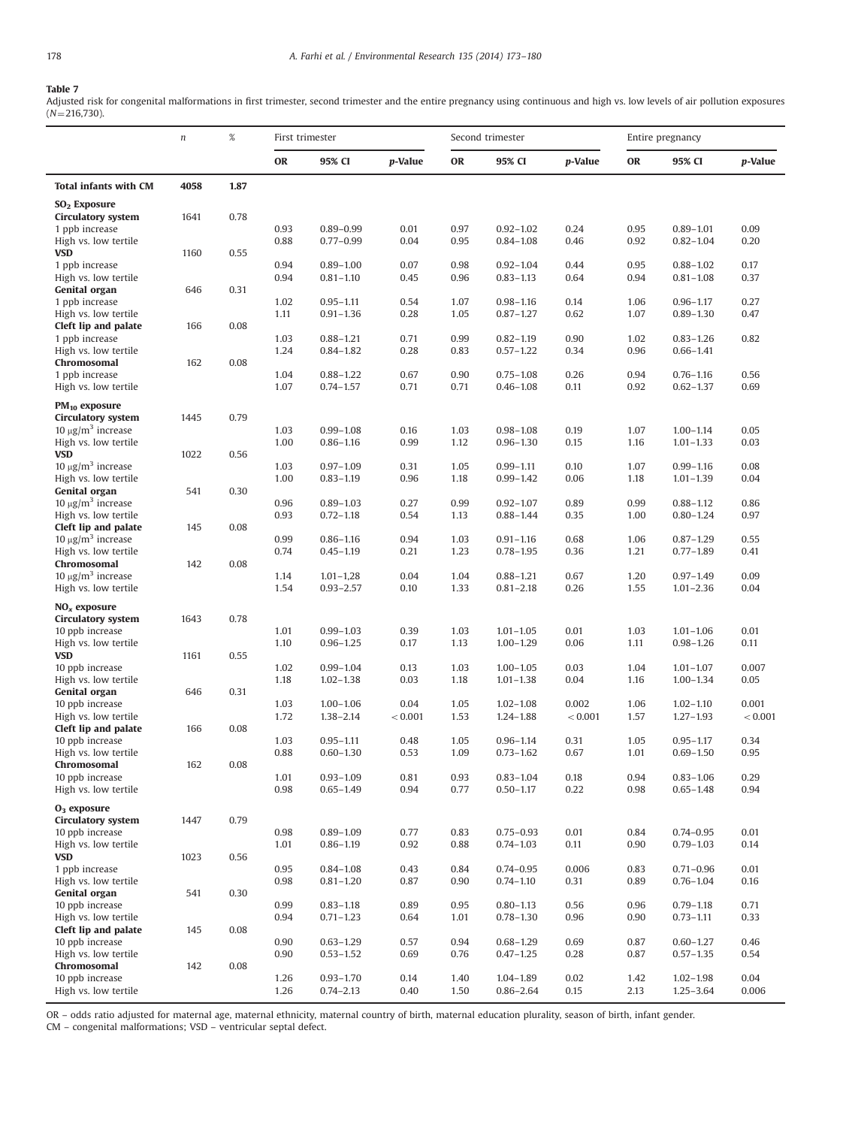# <span id="page-5-0"></span>Table 7

Adjusted risk for congenital malformations in first trimester, second trimester and the entire pregnancy using continuous and high vs. low levels of air pollution exposures  $(N=216,730)$ .

|                                                            | $\sqrt{n}$ | $\%$ | First trimester |                                |                 |              | Second trimester               |                 |              | Entire pregnancy               |                 |
|------------------------------------------------------------|------------|------|-----------------|--------------------------------|-----------------|--------------|--------------------------------|-----------------|--------------|--------------------------------|-----------------|
|                                                            |            |      | <b>OR</b>       | 95% CI                         | <i>p</i> -Value | OR           | 95% CI                         | <i>p</i> -Value | OR           | 95% CI                         | <i>p</i> -Value |
| <b>Total infants with CM</b>                               | 4058       | 1.87 |                 |                                |                 |              |                                |                 |              |                                |                 |
| SO <sub>2</sub> Exposure                                   |            |      |                 |                                |                 |              |                                |                 |              |                                |                 |
| <b>Circulatory system</b>                                  | 1641       | 0.78 |                 |                                |                 |              |                                |                 |              |                                |                 |
| 1 ppb increase                                             |            |      | 0.93            | $0.89 - 0.99$                  | 0.01            | 0.97         | $0.92 - 1.02$                  | 0.24            | 0.95         | $0.89 - 1.01$                  | 0.09            |
| High vs. low tertile                                       |            |      | 0.88            | $0.77 - 0.99$                  | 0.04            | 0.95         | $0.84 - 1.08$                  | 0.46            | 0.92         | $0.82 - 1.04$                  | 0.20            |
| <b>VSD</b>                                                 | 1160       | 0.55 |                 |                                |                 |              |                                |                 |              |                                |                 |
| 1 ppb increase<br>High vs. low tertile                     |            |      | 0.94<br>0.94    | $0.89 - 1.00$<br>$0.81 - 1.10$ | 0.07<br>0.45    | 0.98<br>0.96 | $0.92 - 1.04$<br>$0.83 - 1.13$ | 0.44<br>0.64    | 0.95<br>0.94 | $0.88 - 1.02$<br>$0.81 - 1.08$ | 0.17<br>0.37    |
| Genital organ                                              | 646        | 0.31 |                 |                                |                 |              |                                |                 |              |                                |                 |
| 1 ppb increase                                             |            |      | 1.02            | $0.95 - 1.11$                  | 0.54            | 1.07         | $0.98 - 1.16$                  | 0.14            | 1.06         | $0.96 - 1.17$                  | 0.27            |
| High vs. low tertile                                       |            |      | 1.11            | $0.91 - 1.36$                  | 0.28            | 1.05         | $0.87 - 1.27$                  | 0.62            | 1.07         | $0.89 - 1.30$                  | 0.47            |
| Cleft lip and palate                                       | 166        | 0.08 |                 |                                |                 |              |                                |                 |              |                                |                 |
| 1 ppb increase                                             |            |      | 1.03            | $0.88 - 1.21$                  | 0.71            | 0.99         | $0.82 - 1.19$                  | 0.90            | 1.02         | $0.83 - 1.26$                  | 0.82            |
| High vs. low tertile                                       |            |      | 1.24            | $0.84 - 1.82$                  | 0.28            | 0.83         | $0.57 - 1.22$                  | 0.34            | 0.96         | $0.66 - 1.41$                  |                 |
| Chromosomal<br>1 ppb increase                              | 162        | 0.08 | 1.04            | $0.88 - 1.22$                  | 0.67            | 0.90         | $0.75 - 1.08$                  | 0.26            | 0.94         | $0.76 - 1.16$                  | 0.56            |
| High vs. low tertile                                       |            |      | 1.07            | $0.74 - 1.57$                  | 0.71            | 0.71         | $0.46 - 1.08$                  | 0.11            | 0.92         | $0.62 - 1.37$                  | 0.69            |
|                                                            |            |      |                 |                                |                 |              |                                |                 |              |                                |                 |
| $PM_{10}$ exposure                                         |            |      |                 |                                |                 |              |                                |                 |              |                                |                 |
| <b>Circulatory system</b><br>$10 \mu g/m^3$ increase       | 1445       | 0.79 | 1.03            | $0.99 - 1.08$                  | 0.16            | 1.03         | $0.98 - 1.08$                  | 0.19            | 1.07         | $1.00 - 1.14$                  | 0.05            |
| High vs. low tertile                                       |            |      | 1.00            | $0.86 - 1.16$                  | 0.99            | 1.12         | $0.96 - 1.30$                  | 0.15            | 1.16         | $1.01 - 1.33$                  | 0.03            |
| <b>VSD</b>                                                 | 1022       | 0.56 |                 |                                |                 |              |                                |                 |              |                                |                 |
| $10 \mu g/m^3$ increase                                    |            |      | 1.03            | $0.97 - 1.09$                  | 0.31            | 1.05         | $0.99 - 1.11$                  | 0.10            | 1.07         | $0.99 - 1.16$                  | 0.08            |
| High vs. low tertile                                       |            |      | 1.00            | $0.83 - 1.19$                  | 0.96            | 1.18         | $0.99 - 1.42$                  | 0.06            | 1.18         | $1.01 - 1.39$                  | 0.04            |
| <b>Genital organ</b>                                       | 541        | 0.30 |                 |                                |                 |              |                                |                 |              |                                |                 |
| $10 \mu g/m^3$ increase                                    |            |      | 0.96            | $0.89 - 1.03$                  | 0.27            | 0.99         | $0.92 - 1.07$                  | 0.89            | 0.99         | $0.88 - 1.12$                  | 0.86            |
| High vs. low tertile                                       | 145        | 0.08 | 0.93            | $0.72 - 1.18$                  | 0.54            | 1.13         | $0.88 - 1.44$                  | 0.35            | 1.00         | $0.80 - 1.24$                  | 0.97            |
| Cleft lip and palate<br>10 $\mu$ g/m <sup>3</sup> increase |            |      | 0.99            | $0.86 - 1.16$                  | 0.94            | 1.03         | $0.91 - 1.16$                  | 0.68            | 1.06         | $0.87 - 1.29$                  | 0.55            |
| High vs. low tertile                                       |            |      | 0.74            | $0.45 - 1.19$                  | 0.21            | 1.23         | $0.78 - 1.95$                  | 0.36            | 1.21         | $0.77 - 1.89$                  | 0.41            |
| Chromosomal                                                | 142        | 0.08 |                 |                                |                 |              |                                |                 |              |                                |                 |
| $10 \mu g/m^3$ increase                                    |            |      | 1.14            | $1.01 - 1.28$                  | 0.04            | 1.04         | $0.88 - 1.21$                  | 0.67            | 1.20         | $0.97 - 1.49$                  | 0.09            |
| High vs. low tertile                                       |            |      | 1.54            | $0.93 - 2.57$                  | 0.10            | 1.33         | $0.81 - 2.18$                  | 0.26            | 1.55         | $1.01 - 2.36$                  | 0.04            |
| $NOx$ exposure                                             |            |      |                 |                                |                 |              |                                |                 |              |                                |                 |
| <b>Circulatory system</b>                                  | 1643       | 0.78 |                 |                                |                 |              |                                |                 |              |                                |                 |
| 10 ppb increase                                            |            |      | 1.01            | $0.99 - 1.03$                  | 0.39            | 1.03         | $1.01 - 1.05$                  | 0.01            | 1.03         | $1.01 - 1.06$                  | 0.01            |
| High vs. low tertile                                       |            |      | 1.10            | $0.96 - 1.25$                  | 0.17            | 1.13         | $1.00 - 1.29$                  | 0.06            | 1.11         | $0.98 - 1.26$                  | 0.11            |
| <b>VSD</b>                                                 | 1161       | 0.55 |                 |                                |                 |              |                                |                 |              |                                |                 |
| 10 ppb increase<br>High vs. low tertile                    |            |      | 1.02<br>1.18    | $0.99 - 1.04$<br>$1.02 - 1.38$ | 0.13<br>0.03    | 1.03<br>1.18 | $1.00 - 1.05$<br>$1.01 - 1.38$ | 0.03<br>0.04    | 1.04<br>1.16 | $1.01 - 1.07$<br>$1.00 - 1.34$ | 0.007<br>0.05   |
| Genital organ                                              | 646        | 0.31 |                 |                                |                 |              |                                |                 |              |                                |                 |
| 10 ppb increase                                            |            |      | 1.03            | $1.00 - 1.06$                  | 0.04            | 1.05         | $1.02 - 1.08$                  | 0.002           | 1.06         | $1.02 - 1.10$                  | 0.001           |
| High vs. low tertile                                       |            |      | 1.72            | $1.38 - 2.14$                  | < 0.001         | 1.53         | $1.24 - 1.88$                  | < 0.001         | 1.57         | $1.27 - 1.93$                  | < 0.001         |
| Cleft lip and palate                                       | 166        | 0.08 |                 |                                |                 |              |                                |                 |              |                                |                 |
| 10 ppb increase                                            |            |      | 1.03            | $0.95 - 1.11$                  | 0.48            | 1.05         | $0.96 - 1.14$                  | 0.31            | 1.05         | $0.95 - 1.17$                  | 0.34            |
| High vs. low tertile                                       |            |      | 0.88            | $0.60 - 1.30$                  | 0.53            | 1.09         | $0.73 - 1.62$                  | 0.67            | 1.01         | $0.69 - 1.50$                  | 0.95            |
| Chromosomal<br>10 ppb increase                             | 162        | 0.08 | 1.01            | $0.93 - 1.09$                  | 0.81            | 0.93         | $0.83 - 1.04$                  | 0.18            | 0.94         | $0.83 - 1.06$                  | 0.29            |
| High vs. low tertile                                       |            |      | 0.98            | $0.65 - 1.49$                  | 0.94            | 0.77         | $0.50 - 1.17$                  | 0.22            | 0.98         | $0.65 - 1.48$                  | 0.94            |
|                                                            |            |      |                 |                                |                 |              |                                |                 |              |                                |                 |
| $O3$ exposure                                              |            |      |                 |                                |                 |              |                                |                 |              |                                |                 |
| <b>Circulatory system</b><br>10 ppb increase               | 1447       | 0.79 | 0.98            | $0.89 - 1.09$                  | 0.77            | 0.83         | $0.75 - 0.93$                  | 0.01            | 0.84         | $0.74 - 0.95$                  | 0.01            |
| High vs. low tertile                                       |            |      | 1.01            | $0.86 - 1.19$                  | 0.92            | 0.88         | $0.74 - 1.03$                  | 0.11            | 0.90         | $0.79 - 1.03$                  | 0.14            |
| <b>VSD</b>                                                 | 1023       | 0.56 |                 |                                |                 |              |                                |                 |              |                                |                 |
| 1 ppb increase                                             |            |      | 0.95            | $0.84 - 1.08$                  | 0.43            | 0.84         | $0.74 - 0.95$                  | 0.006           | 0.83         | $0.71 - 0.96$                  | 0.01            |
| High vs. low tertile                                       |            |      | 0.98            | $0.81 - 1.20$                  | 0.87            | 0.90         | $0.74 - 1.10$                  | 0.31            | 0.89         | $0.76 - 1.04$                  | 0.16            |
| Genital organ                                              | 541        | 0.30 |                 |                                |                 |              |                                |                 |              |                                |                 |
| 10 ppb increase                                            |            |      | 0.99            | $0.83 - 1.18$                  | 0.89            | 0.95         | $0.80 - 1.13$                  | 0.56            | 0.96         | $0.79 - 1.18$                  | 0.71            |
| High vs. low tertile                                       |            |      | 0.94            | $0.71 - 1.23$                  | 0.64            | 1.01         | $0.78 - 1.30$                  | 0.96            | 0.90         | $0.73 - 1.11$                  | 0.33            |
| Cleft lip and palate                                       | 145        | 0.08 | 0.90            |                                | 0.57            | 0.94         |                                | 0.69            | 0.87         |                                | 0.46            |
| 10 ppb increase<br>High vs. low tertile                    |            |      | 0.90            | $0.63 - 1.29$<br>$0.53 - 1.52$ | 0.69            | 0.76         | $0.68 - 1.29$<br>$0.47 - 1.25$ | 0.28            | 0.87         | $0.60 - 1.27$<br>$0.57 - 1.35$ | 0.54            |
| Chromosomal                                                | 142        | 0.08 |                 |                                |                 |              |                                |                 |              |                                |                 |
| 10 ppb increase                                            |            |      | 1.26            | $0.93 - 1.70$                  | 0.14            | 1.40         | $1.04 - 1.89$                  | 0.02            | 1.42         | $1.02 - 1.98$                  | 0.04            |
| High vs. low tertile                                       |            |      | 1.26            | $0.74 - 2.13$                  | 0.40            | 1.50         | $0.86 - 2.64$                  | 0.15            | 2.13         | $1.25 - 3.64$                  | 0.006           |

OR – odds ratio adjusted for maternal age, maternal ethnicity, maternal country of birth, maternal education plurality, season of birth, infant gender.

CM – congenital malformations; VSD – ventricular septal defect.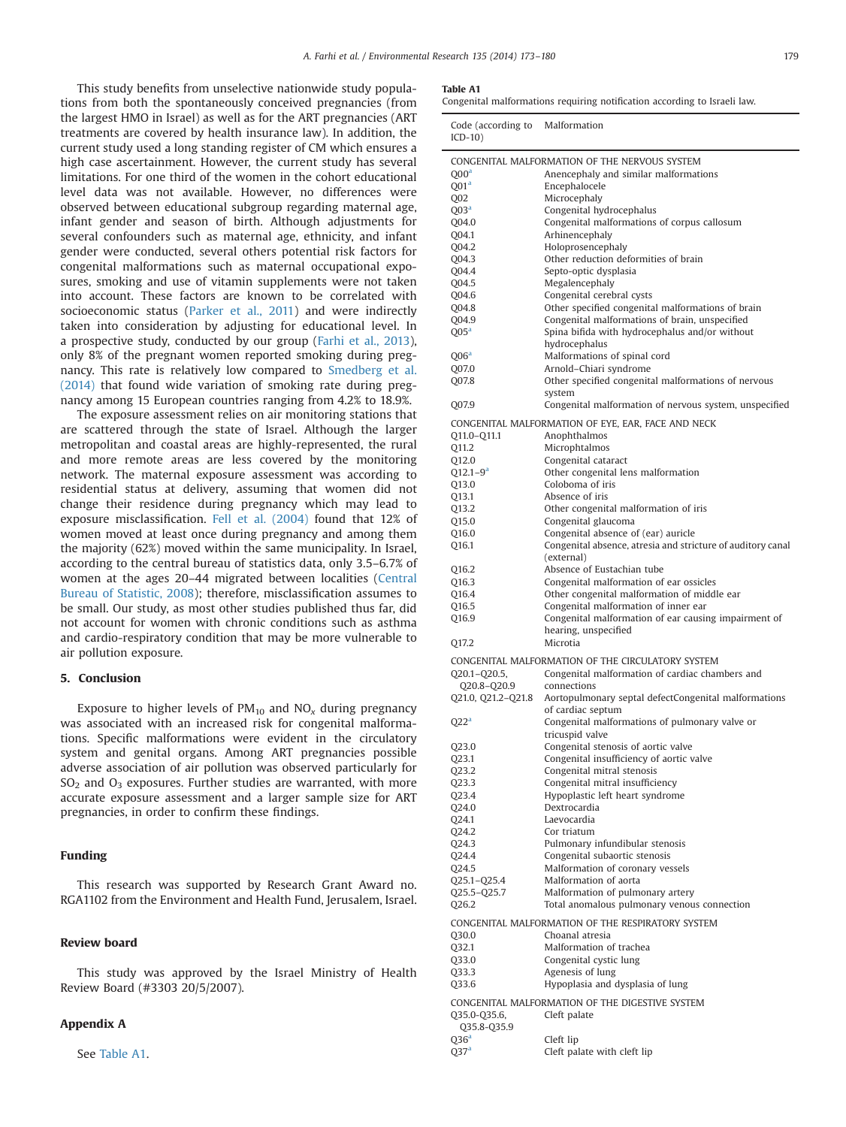<span id="page-6-0"></span>This study benefits from unselective nationwide study populations from both the spontaneously conceived pregnancies (from the largest HMO in Israel) as well as for the ART pregnancies (ART treatments are covered by health insurance law). In addition, the current study used a long standing register of CM which ensures a high case ascertainment. However, the current study has several limitations. For one third of the women in the cohort educational level data was not available. However, no differences were observed between educational subgroup regarding maternal age, infant gender and season of birth. Although adjustments for several confounders such as maternal age, ethnicity, and infant gender were conducted, several others potential risk factors for congenital malformations such as maternal occupational exposures, smoking and use of vitamin supplements were not taken into account. These factors are known to be correlated with socioeconomic status [\(Parker et al., 2011](#page-7-0)) and were indirectly taken into consideration by adjusting for educational level. In a prospective study, conducted by our group ([Farhi et al., 2013\)](#page-7-0), only 8% of the pregnant women reported smoking during pregnancy. This rate is relatively low compared to [Smedberg et al.](#page-7-0) [\(2014\)](#page-7-0) that found wide variation of smoking rate during pregnancy among 15 European countries ranging from 4.2% to 18.9%.

The exposure assessment relies on air monitoring stations that are scattered through the state of Israel. Although the larger metropolitan and coastal areas are highly-represented, the rural and more remote areas are less covered by the monitoring network. The maternal exposure assessment was according to residential status at delivery, assuming that women did not change their residence during pregnancy which may lead to exposure misclassification. [Fell et al. \(2004\)](#page-7-0) found that 12% of women moved at least once during pregnancy and among them the majority (62%) moved within the same municipality. In Israel, according to the central bureau of statistics data, only 3.5–6.7% of women at the ages 20–44 migrated between localities [\(Central](#page-7-0) [Bureau of Statistic, 2008\)](#page-7-0); therefore, misclassification assumes to be small. Our study, as most other studies published thus far, did not account for women with chronic conditions such as asthma and cardio-respiratory condition that may be more vulnerable to air pollution exposure.

## 5. Conclusion

Exposure to higher levels of  $PM_{10}$  and  $NO_x$  during pregnancy was associated with an increased risk for congenital malformations. Specific malformations were evident in the circulatory system and genital organs. Among ART pregnancies possible adverse association of air pollution was observed particularly for  $SO<sub>2</sub>$  and  $O<sub>3</sub>$  exposures. Further studies are warranted, with more accurate exposure assessment and a larger sample size for ART pregnancies, in order to confirm these findings.

# Funding

This research was supported by Research Grant Award no. RGA1102 from the Environment and Health Fund, Jerusalem, Israel.

# Review board

This study was approved by the Israel Ministry of Health Review Board (#3303 20/5/2007).

# Appendix A

See Table A1.

## Table A1

Congenital malformations requiring notification according to Israeli law.

| Code (according to Malformation<br>$ICD-10)$ |                                                                       |
|----------------------------------------------|-----------------------------------------------------------------------|
|                                              | CONGENITAL MALFORMATION OF THE NERVOUS SYSTEM                         |
| Q00 <sup>a</sup>                             | Anencephaly and similar malformations                                 |
| Q01 <sup>a</sup><br>Q <sub>02</sub>          | Encephalocele<br>Microcephaly                                         |
| $Q$ 03 <sup>a</sup>                          | Congenital hydrocephalus                                              |
| Q04.0                                        | Congenital malformations of corpus callosum                           |
| Q04.1                                        | Arhinencephaly                                                        |
| Q04.2                                        | Holoprosencephaly<br>Other reduction deformities of brain             |
| Q04.3<br>Q04.4                               | Septo-optic dysplasia                                                 |
| 004.5                                        | Megalencephaly                                                        |
| Q04.6                                        | Congenital cerebral cysts                                             |
| Q04.8                                        | Other specified congenital malformations of brain                     |
| Q04.9                                        | Congenital malformations of brain, unspecified                        |
| $Q$ 05 <sup>a</sup>                          | Spina bifida with hydrocephalus and/or without<br>hydrocephalus       |
| $Q$ 06 <sup>a</sup>                          | Malformations of spinal cord                                          |
| Q07.0                                        | Arnold-Chiari syndrome                                                |
| Q07.8                                        | Other specified congenital malformations of nervous                   |
| Q07.9                                        | system<br>Congenital malformation of nervous system, unspecified      |
|                                              |                                                                       |
| Q11.0-Q11.1                                  | CONGENITAL MALFORMATION OF EYE, EAR, FACE AND NECK<br>Anophthalmos    |
| Q11.2                                        | Microphtalmos                                                         |
| Q12.0                                        | Congenital cataract                                                   |
| $Q12.1 - 9^a$                                | Other congenital lens malformation                                    |
| Q13.0                                        | Coloboma of iris                                                      |
| Q13.1<br>Q13.2                               | Absence of iris<br>Other congenital malformation of iris              |
| Q15.0                                        | Congenital glaucoma                                                   |
| Q16.0                                        | Congenital absence of (ear) auricle                                   |
| Q16.1                                        | Congenital absence, atresia and stricture of auditory canal           |
|                                              | (external)                                                            |
| Q16.2<br>Q16.3                               | Absence of Eustachian tube<br>Congenital malformation of ear ossicles |
| Q16.4                                        | Other congenital malformation of middle ear                           |
| Q16.5                                        | Congenital malformation of inner ear                                  |
| Q16.9                                        | Congenital malformation of ear causing impairment of                  |
|                                              | hearing, unspecified<br>Microtia                                      |
| Q17.2                                        |                                                                       |
|                                              | CONGENITAL MALFORMATION OF THE CIRCULATORY SYSTEM                     |
| Q20.1-Q20.5,<br>Q20.8-Q20.9                  | Congenital malformation of cardiac chambers and<br>connections        |
| Q21.0, Q21.2-Q21.8                           | Aortopulmonary septal defectCongenital malformations                  |
|                                              | of cardiac septum                                                     |
| Q22 <sup>a</sup>                             | Congenital malformations of pulmonary valve or                        |
| Q23.0                                        | tricuspid valve<br>Congenital stenosis of aortic valve                |
| Q23.1                                        | Congenital insufficiency of aortic valve                              |
| Q23.2                                        | Congenital mitral stenosis                                            |
| Q23.3                                        | Congenital mitral insufficiency                                       |
| Q23.4                                        | Hypoplastic left heart syndrome                                       |
| Q24.0<br>Q24.1                               | Dextrocardia<br>Laevocardia                                           |
| Q24.2                                        | Cor triatum                                                           |
| Q24.3                                        | Pulmonary infundibular stenosis                                       |
| Q24.4                                        | Congenital subaortic stenosis                                         |
| Q24.5<br>Q25.1-Q25.4                         | Malformation of coronary vessels<br>Malformation of aorta             |
| Q25.5-Q25.7                                  | Malformation of pulmonary artery                                      |
| Q26.2                                        | Total anomalous pulmonary venous connection                           |
|                                              | CONGENITAL MALFORMATION OF THE RESPIRATORY SYSTEM                     |
| Q30.0                                        | Choanal atresia                                                       |
| Q32.1                                        | Malformation of trachea                                               |
| Q33.0                                        | Congenital cystic lung                                                |
| Q33.3<br>Q33.6                               | Agenesis of lung<br>Hypoplasia and dysplasia of lung                  |
|                                              |                                                                       |
| Q35.0-Q35.6,<br>Q35.8-Q35.9                  | CONGENITAL MALFORMATION OF THE DIGESTIVE SYSTEM<br>Cleft palate       |
| Q36 <sup>a</sup>                             | Cleft lip                                                             |
| 037 <sup>a</sup>                             | Cleft palate with cleft lip                                           |